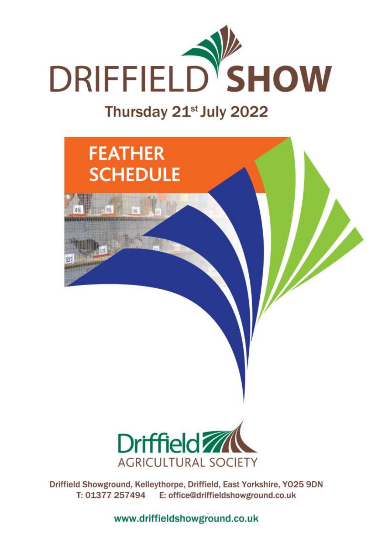

# Thursday 21<sup>st</sup> July 2022





Driffield Showground, Kelleythorpe, Driffield, East Yorkshire, YO25 9DN T: 01377 257494 E: office@driffieldshowground.co.uk

www.driffieldshowground.co.uk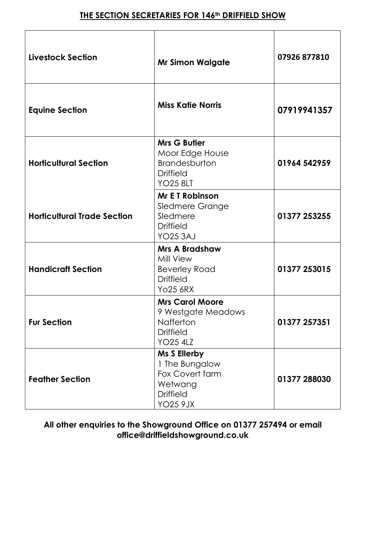# **THE SECTION SECRETARIES FOR 146th DRIFFIELD SHOW**

| <b>Livestock Section</b>           | <b>Mr Simon Walgate</b>                                                                             | 07926 877810 |
|------------------------------------|-----------------------------------------------------------------------------------------------------|--------------|
| <b>Equine Section</b>              | <b>Miss Katie Norris</b>                                                                            | 07919941357  |
| <b>Horticultural Section</b>       | <b>Mrs G Butler</b><br>Moor Edge House<br>Brandesburton<br><b>Driffield</b><br><b>YO25 8LT</b>      | 01964 542959 |
| <b>Horticultural Trade Section</b> | <b>Mr E T Robinson</b><br><b>Sledmere Grange</b><br>Sledmere<br><b>Driffield</b><br><b>YO25 3AJ</b> | 01377 253255 |
| <b>Handicraft Section</b>          | <b>Mrs A Bradshaw</b><br>Mill View<br><b>Beverley Road</b><br><b>Driffield</b><br><b>Yo25 6RX</b>   | 01377 253015 |
| <b>Fur Section</b>                 | <b>Mrs Carol Moore</b><br>9 Westgate Meadows<br>Nafferton<br><b>Driffield</b><br><b>YO25 4LZ</b>    | 01377 257351 |
| <b>Feather Section</b>             | Ms S Ellerby<br>1 The Bungalow<br>Fox Covert farm<br>Wetwang<br><b>Driffield</b><br><b>YO25 9JX</b> | 01377 288030 |

## **All other enquiries to the Showground Office on 01377 257494 or email [office@driffieldshowground.co.uk](mailto:office@driffieldshowground.co.uk)**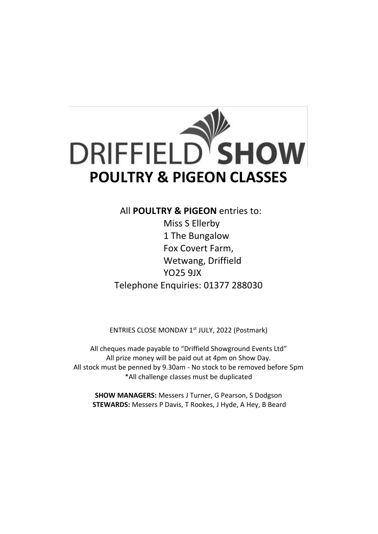

All **POULTRY & PIGEON** entries to:

Miss S Ellerby 1 The Bungalow Fox Covert Farm, Wetwang, Driffield YO25 9JX Telephone Enquiries: 01377 288030

ENTRIES CLOSE MONDAY 1<sup>st</sup> JULY, 2022 (Postmark)

All cheques made payable to "Driffield Showground Events Ltd" All prize money will be paid out at 4pm on Show Day. All stock must be penned by 9.30am - No stock to be removed before 5pm \*All challenge classes must be duplicated

**SHOW MANAGERS:** Messers J Turner, G Pearson, S Dodgson **STEWARDS:** Messers P Davis, T Rookes, J Hyde, A Hey, B Beard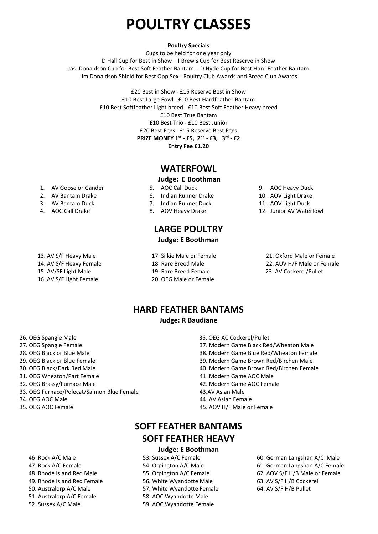# **POULTRY CLASSES**

#### **Poultry Specials**

Cups to be held for one year only D Hall Cup for Best in Show – I Brewis Cup for Best Reserve in Show Jas. Donaldson Cup for Best Soft Feather Bantam - D Hyde Cup for Best Hard Feather Bantam Jim Donaldson Shield for Best Opp Sex - Poultry Club Awards and Breed Club Awards

> £20 Best in Show - £15 Reserve Best in Show £10 Best Large Fowl - £10 Best Hardfeather Bantam £10 Best Softfeather Light breed - £10 Best Soft Feather Heavy breed £10 Best True Bantam £10 Best Trio - £10 Best Junior £20 Best Eggs - £15 Reserve Best Eggs **PRIZE MONEY 1st - £5, 2 nd - £3, 3 rd - £2 Entry Fee £1.20**

## **WATERFOWL**

#### **Judge: E Boothman**

5. AOC Call Duck

6. Indian Runner Drake 7. Indian Runner Duck 8. AOV Heavy Drake

- 2. AV Bantam Drake
- 3. AV Bantam Duck

1. AV Goose or Gander

- 4. AOC Call Drake
- 13. AV S/F Heavy Male
- 14. AV S/F Heavy Female
- 15. AV/SF Light Male
- 16. AV S/F Light Female

17. Silkie Male or Female

**LARGE POULTRY Judge: E Boothman**

- 18. Rare Breed Male
- 19. Rare Breed Female
- 20. OEG Male or Female
- 9. AOC Heavy Duck
- 10. AOV Light Drake
- 11. AOV Light Duck
- 12. Junior AV Waterfowl

21. Oxford Male or Female 22. AUV H/F Male or Female 23. AV Cockerel/Pullet

**HARD FEATHER BANTAMS**

#### **Judge: R Baudiane**

- 26. OEG Spangle Male
- 27. OEG Spangle Female
- 28. OEG Black or Blue Male
- 29. OEG Black or Blue Female
- 30. OEG Black/Dark Red Male
- 31. OEG Wheaton/Part Female
- 32. OEG Brassy/Furnace Male
- 33. OEG Furnace/Polecat/Salmon Blue Female
- 34. OEG AOC Male
- 35. OEG AOC Female

38. Modern Game Blue Red/Wheaton Female

36. OEG AC Cockerel/Pullet

39. Modern Game Brown Red/Birchen Male

37. Modern Game Black Red/Wheaton Male

- 40. Modern Game Brown Red/Birchen Female
- 41 .Modern Game AOC Male
- 42. Modern Game AOC Female
- 43.AV Asian Male
- 44. AV Asian Female
- 45. AOV H/F Male or Female

# **SOFT FEATHER BANTAMS SOFT FEATHER HEAVY**

#### **Judge: E Boothman**

- 53. Sussex A/C Female 54. Orpington A/C Male
- 55. Orpington A/C Female
- 56. White Wyandotte Male
- 57. White Wyandotte Female
- 58. AOC Wyandotte Male
- 59. AOC Wyandotte Female
- 60. German Langshan A/C Male 61. German Langshan A/C Female 62. AOV S/F H/B Male or Female 63. AV S/F H/B Cockerel 64. AV S/F H/B Pullet

50. Australorp A/C Male

46 .Rock A/C Male 47. Rock A/C Female 48. Rhode Island Red Male 49. Rhode Island Red Female

- 51. Australorp A/C Female
- 52. Sussex A/C Male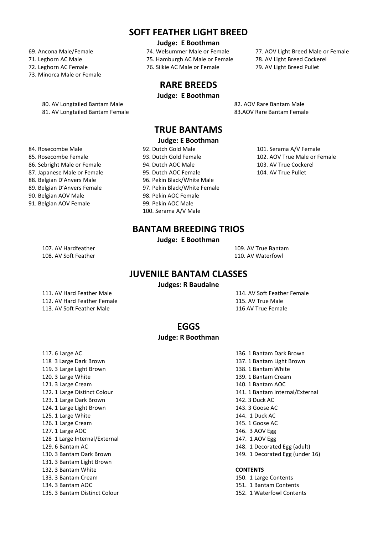## **SOFT FEATHER LIGHT BREED**

#### **Judge: E Boothman**

- 69. Ancona Male/Female
- 71. Leghorn AC Male
- 72. Leghorn AC Female
- 73. Minorca Male or Female
	- 80. AV Longtailed Bantam Male 682. AOV Rare Bantam Male
- 74. Welsummer Male or Female 75. Hamburgh AC Male or Female 76. Silkie AC Male or Female
	-

# **RARE BREEDS**

**Judge: E Boothman**

77. AOV Light Breed Male or Female 78. AV Light Breed Cockerel 79. AV Light Breed Pullet

81. AV Longtailed Bantam Female 83.AOV Rare Bantam Female

# **TRUE BANTAMS**

#### **Judge: E Boothman**

92. Dutch Gold Male 93. Dutch Gold Female 94. Dutch AOC Male 95. Dutch AOC Female 96. Pekin Black/White Male 97. Pekin Black/White Female 98. Pekin AOC Female 99. Pekin AOC Male 100. Serama A/V Male

101. Serama A/V Female 102. AOV True Male or Female 103. AV True Cockerel 104. AV True Pullet

- 86. Sebright Male or Female 87. Japanese Male or Female 88. Belgian D'Anvers Male 89. Belgian D'Anvers Female 90. Belgian AOV Male
- 91. Belgian AOV Female

84. Rosecombe Male 85. Rosecombe Female

# **BANTAM BREEDING TRIOS**

**Judge: E Boothman**

107. AV Hardfeather 109. AV True Bantam 108. AV Soft Feather 110. AV Waterfowl

## **JUVENILE BANTAM CLASSES**

**Judges: R Baudaine**

111. AV Hard Feather Male 114. AV Soft Feather Female 112. AV Hard Feather Female 115. AV True Male 113. AV Soft Feather Male 116 AV True Female

#### **EGGS**

#### **Judge: R Boothman**

- 117. 6 Large AC 136. 1 Bantam Dark Brown 118 3 Large Dark Brown 137. 1 Bantam Light Brown 119. 3 Large Light Brown 138. 1 Bantam White 120. 3 Large White 139. 1 Bantam Cream 121. 3 Large Cream 140. 1 Bantam AOC 123. 1 Large Dark Brown 142. 3 Duck AC 124. 1 Large Light Brown 143. 3 Goose AC 125. 1 Large White 125. 1 Large White 126. 1 Large Cream 145. 1 Goose AC 127. 1 Large AOC 146. 3 AOV Egg 128 1 Large Internal/External 147. 1 AOV Egg 129. 6 Bantam AC 148. 1 Decorated Egg (adult) 131. 3 Bantam Light Brown 132. 3 Bantam White **CONTENTS** 133. 3 Bantam Cream 150. 1 Large Contents 134. 3 Bantam AOC 151. 1 Bantam Contents 135. 3 Bantam Distinct Colour 152. 1 Waterfowl Contents
- 122. 1 Large Distinct Colour 141. 1 Bantam Internal/External 130. 3 Bantam Dark Brown 149. 1 Decorated Egg (under 16)

- 
- 
-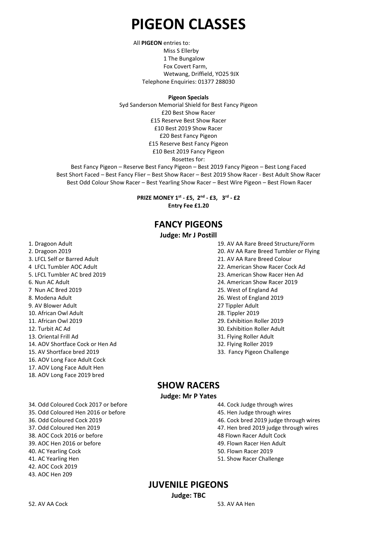# **PIGEON CLASSES**

 All **PIGEON** entries to: Miss S Ellerby 1 The Bungalow Fox Covert Farm, Wetwang, Driffield, YO25 9JX Telephone Enquiries: 01377 288030

#### **Pigeon Specials**

Syd Sanderson Memorial Shield for Best Fancy Pigeon £20 Best Show Racer £15 Reserve Best Show Racer £10 Best 2019 Show Racer £20 Best Fancy Pigeon £15 Reserve Best Fancy Pigeon £10 Best 2019 Fancy Pigeon Rosettes for:

Best Fancy Pigeon – Reserve Best Fancy Pigeon – Best 2019 Fancy Pigeon – Best Long Faced Best Short Faced – Best Fancy Flier – Best Show Racer – Best 2019 Show Racer - Best Adult Show Racer Best Odd Colour Show Racer – Best Yearling Show Racer – Best Wire Pigeon – Best Flown Racer

> **PRIZE MONEY 1st - £5, 2 nd - £3, 3rd - £2 Entry Fee £1.20**

# **FANCY PIGEONS**

#### **Judge: Mr J Postill**

- 1. Dragoon Adult 19. AV AA Rare Breed Structure/Form
- 
- 3. LFCL Self or Barred Adult 21. AV AA Rare Breed Colour
- 
- 5. LFCL Tumbler AC bred 2019 23. American Show Racer Hen Ad
- 
- 7 Nun AC Bred 2019 25. West of England Ad
- 
- 9. AV Blower Adult 27 Tippler Adult
- 10. African Owl Adult 28. Tippler 2019
- 
- 
- 13. Oriental Frill Ad 31. Flying Roller Adult
- 14. AOV Shortface Cock or Hen Ad 32. Flying Roller 2019
- 15. AV Shortface bred 2019 33. Fancy Pigeon Challenge
- 16. AOV Long Face Adult Cock
- 17. AOV Long Face Adult Hen
- 18. AOV Long Face 2019 bred
- 34. Odd Coloured Cock 2017 or before 44. Cock Judge through wires 35. Odd Coloured Hen 2016 or before 45. Hen Judge through wires 36. Odd Coloured Cock 2019 46. Cock bred 2019 judge through wires 37. Odd Coloured Hen 2019 47. Hen bred 2019 judge through wires 38. AOC Cock 2016 or before 48 Flown Racer Adult Cock 39. AOC Hen 2016 or before 49. Flown Racer Hen Adult 40. AC Yearling Cock 50. Flown Racer 2019 41. AC Yearling Hen 51. Show Racer Challenge 42. AOC Cock 2019
- 43. AOC Hen 209
- 2. Dragoon 2019 20. AV AA Rare Breed Tumbler or Flying
	-
- 4 LFCL Tumbler AOC Adult 22. American Show Racer Cock Ad
	-
- 6. Nun AC Adult 24. American Show Racer 2019
	-
- 8. Modena Adult 26. West of England 2019
	-
	-
- 11. African Owl 2019 29. Exhibition Roller 2019
- 12. Turbit AC Ad 30. Exhibition Roller Adult
	-
	-
	-

#### **SHOW RACERS**

**Judge: Mr P Yates**

- 
- 
- 
- 
- 
- 
- 
- 

## **JUVENILE PIGEONS**

**Judge: TBC**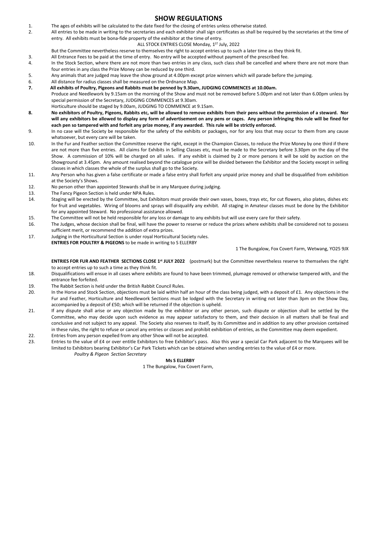#### **SHOW REGULATIONS**

- 1. The ages of exhibits will be calculated to the date fixed for the closing of entries unless otherwise stated.
- 2. All entries to be made in writing to the secretaries and each exhibitor shall sign certificates as shall be required by the secretaries at the time of entry. All exhibits must be bona-fide property of the exhibitor at the time of entry.

#### ALL STOCK ENTRIES CLOSE Monday, 1<sup>st</sup> July, 2022

But the Committee nevertheless reserve to themselves the right to accept entries up to such a later time as they think fit.

- 3. All Entrance Fees to be paid at the time of entry. No entry will be accepted without payment of the prescribed fee.
- 4. In the Stock Section, where there are not more than two entries in any class, such class shall be cancelled and where there are not more than four entries in any class the Prize Money can be reduced by one third.
- 5. Any animals that are judged may leave the show ground at 4.00pm except prize winners which will parade before the jumping.
- 6. All distance for radius classes shall be measured on the Ordnance Map.<br> **1.** All exhibits of Poultry, Pigeons and Rabbits must be penned by 9.30am
- **7. All exhibits of Poultry, Pigeons and Rabbits must be penned by 9.30am, JUDGING COMMENCES at 10.00am.** Produce and Needlework by 9.15am on the morning of the Show and must not be removed before 5.00pm and not later than 6.00pm unless by special permission of the Secretary, JUDGING COMMENCES at 9.30am.
- Horticulture should be staged by 9.00am, JUDGING TO COMMENCE at 9.15am.
- **8. No exhibitors of Poultry, Pigeons, Rabbits etc, will be allowed to remove exhibits from their pens without the permission of a steward. Nor will any exhibitors be allowed to display any form of advertisement on any pens or cages. Any person infringing this rule will be fined for each pen so tampered with and forfeit any prize money, if any awarded. This rule will be strictly enforced.**
- 9. In no case will the Society be responsible for the safety of the exhibits or packages, nor for any loss that may occur to them from any cause whatsoever, but every care will be taken.
- 10. In the Fur and Feather section the Committee reserve the right, except in the Champion Classes, to reduce the Prize Money by one third if there are not more than five entries. All claims for Exhibits in Selling Classes etc, must be made to the Secretary before 3.30pm on the day of the Show. A commission of 10% will be charged on all sales. If any exhibit is claimed by 2 or more persons it will be sold by auction on the Showground at 3.45pm. Any amount realised beyond the catalogue price will be divided between the Exhibitor and the Society except in selling classes in which classes the whole of the surplus shall go to the Society.
- 11. Any Person who has given a false certificate or made a false entry shall forfeit any unpaid prize money and shall be disqualified from exhibition at the Society's Shows.
- 12. No person other than appointed Stewards shall be in any Marquee during judging.
- 13. The Fancy Pigeon Section is held under NPA Rules.
- 14. Staging will be erected by the Committee, but Exhibitors must provide their own vases, boxes, trays etc, for cut flowers, also plates, dishes etc for fruit and vegetables. Wiring of blooms and sprays will disqualify any exhibit. All staging in Amateur classes must be done by the Exhibitor for any appointed Steward. No professional assistance allowed.
- 15. The Committee will not be held responsible for any loss or damage to any exhibits but will use every care for their safety.
- 16. The Judges, whose decision shall be final, will have the power to reserve or reduce the prizes where exhibits shall be considered not to possess sufficient merit, or recommend the addition of extra prizes.
- 17. Judging in the Horticultural Section is under royal Horticultural Society rules. **ENTRIES FOR POULTRY & PIGEONS** to be made in writing to S ELLERBY

1 The Bungalow, Fox Covert Farm, Wetwang, YO25 9JX

**ENTRIES FOR FUR AND FEATHER SECTIONS CLOSE 1 st JULY 2022** (postmark) but the Committee nevertheless reserve to themselves the right to accept entries up to such a time as they think fit.

- 18. Disqualifications will ensue in all cases where exhibits are found to have been trimmed, plumage removed or otherwise tampered with, and the entrance fee forfeited.
- 19. The Rabbit Section is held under the British Rabbit Council Rules.
- 20. In the Horse and Stock Section, objections must be laid within half an hour of the class being judged, with a deposit of £1. Any objections in the Fur and Feather, Horticulture and Needlework Sections must be lodged with the Secretary in writing not later than 3pm on the Show Day, accompanied by a deposit of £50; which will be returned if the objection is upheld.
- 21. If any dispute shall arise or any objection made by the exhibitor or any other person, such dispute or objection shall be settled by the Committee, who may decide upon such evidence as may appear satisfactory to them, and their decision in all matters shall be final and conclusive and not subject to any appeal. The Society also reserves to itself, by its Committee and in addition to any other provision contained in these rules, the right to refuse or cancel any entries or classes and prohibit exhibition of entries, as the Committee may deem expedient.
- 22. Entries from any person expelled from any other Show will not be accepted.
- 23. Entries to the value of £4 or over entitle Exhibitors to free Exhibitor's pass. Also this year a special Car Park adjacent to the Marquees will be limited to Exhibitors bearing Exhibitor's Car Park Tickets which can be obtained when sending entries to the value of £4 or more. *Poultry & Pigeon Section Secretary*

#### **Ms S ELLERBY**

1 The Bungalow, Fox Covert Farm,